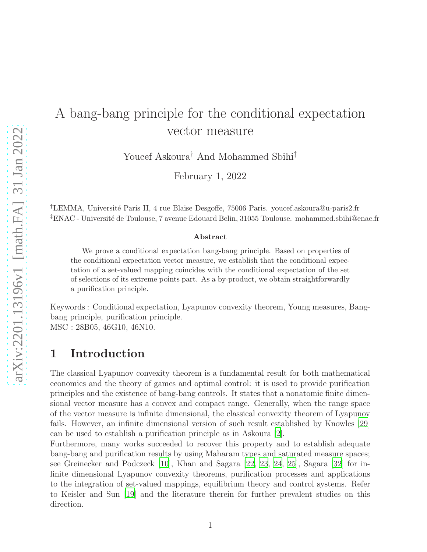# A bang-bang principle for the conditional expectation vector measure

Youcef Askoura† And Mohammed Sbihi‡

February 1, 2022

†LEMMA, Universit´e Paris II, 4 rue Blaise Desgoffe, 75006 Paris. youcef.askoura@u-paris2.fr <sup>‡</sup>ENAC - Université de Toulouse, 7 avenue Edouard Belin, 31055 Toulouse. mohammed.sbihi@enac.fr

#### Abstract

We prove a conditional expectation bang-bang principle. Based on properties of the conditional expectation vector measure, we establish that the conditional expectation of a set-valued mapping coincides with the conditional expectation of the set of selections of its extreme points part. As a by-product, we obtain straightforwardly a purification principle.

Keywords : Conditional expectation, Lyapunov convexity theorem, Young measures, Bangbang principle, purification principle. MSC : 28B05, 46G10, 46N10.

### 1 Introduction

The classical Lyapunov convexity theorem is a fundamental result for both mathematical economics and the theory of games and optimal control: it is used to provide purification principles and the existence of bang-bang controls. It states that a nonatomic finite dimensional vector measure has a convex and compact range. Generally, when the range space of the vector measure is infinite dimensional, the classical convexity theorem of Lyapunov fails. However, an infinite dimensional version of such result established by Knowles [\[29\]](#page-16-0) can be used to establish a purification principle as in Askoura [\[2\]](#page-14-0).

Furthermore, many works succeeded to recover this property and to establish adequate bang-bang and purification results by using Maharam types and saturated measure spaces; see Greinecker and Podczeck [\[10](#page-14-1)], Khan and Sagara [\[22,](#page-15-0) [23,](#page-15-1) [24,](#page-15-2) [25](#page-15-3)], Sagara [\[32](#page-16-1)] for infinite dimensional Lyapunov convexity theorems, purification processes and applications to the integration of set-valued mappings, equilibrium theory and control systems. Refer to Keisler and Sun [\[19\]](#page-15-4) and the literature therein for further prevalent studies on this direction.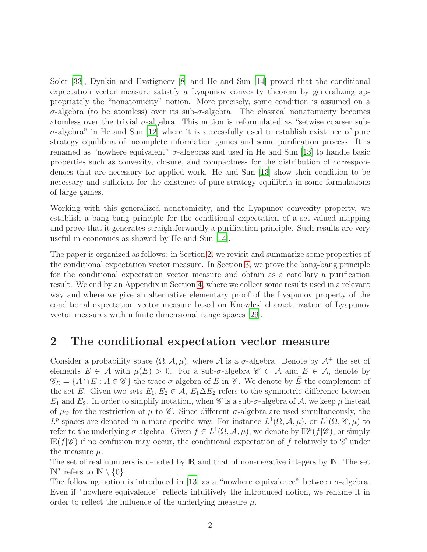Soler [\[33](#page-16-2)], Dynkin and Evstigneev [\[8](#page-14-2)] and He and Sun [\[14](#page-15-5)] proved that the conditional expectation vector measure satistfy a Lyapunov convexity theorem by generalizing appropriately the "nonatomicity" notion. More precisely, some condition is assumed on a σ-algebra (to be atomless) over its sub-σ-algebra. The classical nonatomicity becomes atomless over the trivial  $\sigma$ -algebra. This notion is reformulated as "setwise coarser sub- $\sigma$ -algebra" in He and Sun [\[12\]](#page-15-6) where it is successfully used to establish existence of pure strategy equilibria of incomplete information games and some purification process. It is renamed as "nowhere equivalent"  $\sigma$ -algebras and used in He and Sun [\[13](#page-15-7)] to handle basic properties such as convexity, closure, and compactness for the distribution of correspondences that are necessary for applied work. He and Sun [\[13\]](#page-15-7) show their condition to be necessary and sufficient for the existence of pure strategy equilibria in some formulations of large games.

Working with this generalized nonatomicity, and the Lyapunov convexity property, we establish a bang-bang principle for the conditional expectation of a set-valued mapping and prove that it generates straightforwardly a purification principle. Such results are very useful in economics as showed by He and Sun [\[14\]](#page-15-5).

The paper is organized as follows: in Section [2,](#page-1-0) we revisit and summarize some properties of the conditional expectation vector measure. In Section [3,](#page-4-0) we prove the bang-bang principle for the conditional expectation vector measure and obtain as a corollary a purification result. We end by an Appendix in Section [4,](#page-10-0) where we collect some results used in a relevant way and where we give an alternative elementary proof of the Lyapunov property of the conditional expectation vector measure based on Knowles' characterization of Lyapunov vector measures with infinite dimensional range spaces [\[29\]](#page-16-0).

#### <span id="page-1-0"></span>2 The conditional expectation vector measure

Consider a probability space  $(\Omega, \mathcal{A}, \mu)$ , where  $\mathcal A$  is a  $\sigma$ -algebra. Denote by  $\mathcal A^+$  the set of elements  $E \in \mathcal{A}$  with  $\mu(E) > 0$ . For a sub- $\sigma$ -algebra  $\mathscr{C} \subset \mathcal{A}$  and  $E \in \mathcal{A}$ , denote by  $\mathscr{C}_E = \{A \cap E : A \in \mathscr{C}\}\$  the trace  $\sigma$ -algebra of E in  $\mathscr{C}$ . We denote by E the complement of the set E. Given two sets  $E_1, E_2 \in \mathcal{A}, E_1 \Delta E_2$  refers to the symmetric difference between  $E_1$  and  $E_2$ . In order to simplify notation, when  $\mathscr C$  is a sub- $\sigma$ -algebra of  $\mathcal A$ , we keep  $\mu$  instead of  $\mu_{\mathscr{C}}$  for the restriction of  $\mu$  to  $\mathscr{C}$ . Since different  $\sigma$ -algebra are used simultaneously, the  $L^p$ -spaces are denoted in a more specific way. For instance  $L^1(\Omega, \mathcal{A}, \mu)$ , or  $L^1(\Omega, \mathcal{C}, \mu)$  to refer to the underlying  $\sigma$ -algebra. Given  $f \in L^1(\Omega, \mathcal{A}, \mu)$ , we denote by  $\mathbb{E}^{\mu}(f|\mathscr{C})$ , or simply  $\mathbb{E}(f|\mathscr{C})$  if no confusion may occur, the conditional expectation of f relatively to  $\mathscr C$  under the measure  $\mu$ .

The set of real numbers is denoted by  $\mathbb R$  and that of non-negative integers by  $\mathbb N$ . The set  $\mathbb{N}^*$  refers to  $\mathbb{N} \setminus \{0\}.$ 

The following notion is introduced in [\[13](#page-15-7)] as a "nowhere equivalence" between  $\sigma$ -algebra. Even if "nowhere equivalence" reflects intuitively the introduced notion, we rename it in order to reflect the influence of the underlying measure  $\mu$ .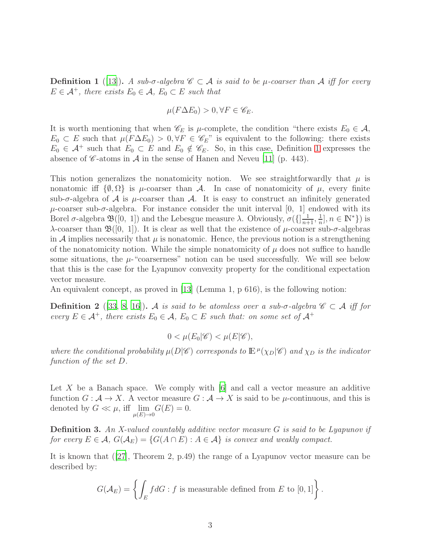<span id="page-2-0"></span>**Definition 1** ([\[13\]](#page-15-7)). A sub- $\sigma$ -algebra  $\mathscr{C} \subset \mathcal{A}$  is said to be  $\mu$ -coarser than  $\mathcal{A}$  iff for every  $E \in \mathcal{A}^+$ , there exists  $E_0 \in \mathcal{A}$ ,  $E_0 \subset E$  such that

$$
\mu(F\Delta E_0) > 0, \forall F \in \mathscr{C}_E.
$$

It is worth mentioning that when  $\mathscr{C}_E$  is  $\mu$ -complete, the condition "there exists  $E_0 \in \mathcal{A}$ ,  $E_0 \subset E$  such that  $\mu(F \Delta E_0) > 0$ ,  $\forall F \in \mathscr{C}_E$ " is equivalent to the following: there exists  $E_0 \in \mathcal{A}^+$  such that  $E_0 \subset E$  and  $E_0 \notin \mathscr{C}_E$ . So, in this case, Definition [1](#page-2-0) expresses the absence of  $\mathscr C$ -atoms in  $\mathscr A$  in the sense of Hanen and Neveu [\[11\]](#page-15-8) (p. 443).

This notion generalizes the nonatomicity notion. We see straightforwardly that  $\mu$  is nonatomic iff  $\{\emptyset, \Omega\}$  is  $\mu$ -coarser than A. In case of nonatomicity of  $\mu$ , every finite sub- $\sigma$ -algebra of A is  $\mu$ -coarser than A. It is easy to construct an infinitely generated  $\mu$ -coarser sub- $\sigma$ -algebra. For instance consider the unit interval [0, 1] endowed with its Borel  $\sigma$ -algebra  $\mathfrak{B}([0, 1])$  and the Lebesgue measure  $\lambda$ . Obviously,  $\sigma(\{\frac{1}{n+1}, \frac{1}{n}\})$  $\frac{1}{n}, n \in \mathbb{N}^*$ ) is λ-coarser than  $\mathfrak{B}([0, 1])$ . It is clear as well that the existence of *μ*-coarser sub-σ-algebras in A implies necessarily that  $\mu$  is nonatomic. Hence, the previous notion is a strengthening of the nonatomicity notion. While the simple nonatomicity of  $\mu$  does not suffice to handle some situations, the  $\mu$ -"coarserness" notion can be used successfully. We will see below that this is the case for the Lyapunov convexity property for the conditional expectation vector measure.

An equivalent concept, as proved in [\[13\]](#page-15-7) (Lemma 1, p 616), is the following notion:

**Definition 2** ([\[33](#page-16-2), [8,](#page-14-2) [16\]](#page-15-9)). A is said to be atomless over a sub- $\sigma$ -algebra  $\mathscr{C} \subset \mathcal{A}$  iff for every  $E \in \mathcal{A}^+$ , there exists  $E_0 \in \mathcal{A}$ ,  $E_0 \subset E$  such that: on some set of  $\mathcal{A}^+$ 

$$
0 < \mu(E_0|\mathscr{C}) < \mu(E|\mathscr{C}),
$$

where the conditional probability  $\mu(D|\mathscr{C})$  corresponds to  $\mathbb{E}^{\mu}(\chi_D|\mathscr{C})$  and  $\chi_D$  is the indicator function of the set D.

Let X be a Banach space. We comply with  $[6]$  and call a vector measure an additive function  $G : \mathcal{A} \to X$ . A vector measure  $G : \mathcal{A} \to X$  is said to be  $\mu$ -continuous, and this is denoted by  $G \ll \mu$ , iff  $\lim_{\mu(E) \to 0} G(E) = 0$ .

**Definition 3.** An X-valued countably additive vector measure  $G$  is said to be Lyapunov if for every  $E \in \mathcal{A}$ ,  $G(\mathcal{A}_E) = \{G(A \cap E) : A \in \mathcal{A}\}\$ is convex and weakly compact.

It is known that ([\[27](#page-16-3)], Theorem 2, p.49) the range of a Lyapunov vector measure can be described by:

$$
G(\mathcal{A}_E) = \left\{ \int_E f dG : f \text{ is measurable defined from } E \text{ to } [0,1] \right\}.
$$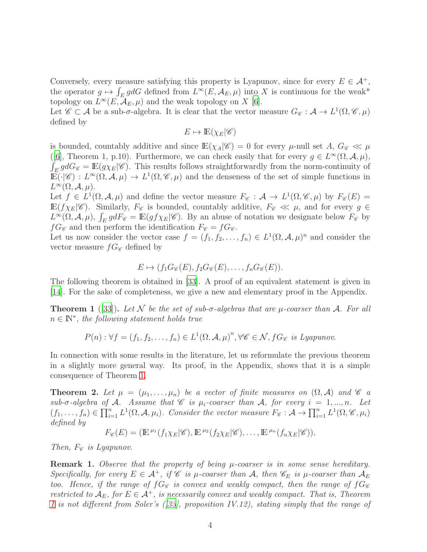Conversely, every measure satisfying this property is Lyapunov, since for every  $E \in \mathcal{A}^+$ , the operator  $g \mapsto \int_E gdG$  defined from  $L^\infty(E, \mathcal{A}_E, \mu)$  into X is continuous for the weak\* topology on  $L^{\infty}(E, \overline{\mathcal{A}}_E, \mu)$  and the weak topology on X [\[6](#page-14-3)].

Let  $\mathscr{C} \subset \mathcal{A}$  be a sub- $\sigma$ -algebra. It is clear that the vector measure  $G_{\mathscr{C}} : \mathcal{A} \to L^1(\Omega, \mathscr{C}, \mu)$ defined by

$$
E \mapsto \mathbb{E}(\chi_E|\mathscr{C})
$$

is bounded, countably additive and since  $\mathbb{E}(\chi_A|\mathscr{C})=0$  for every  $\mu$ -null set A,  $G_{\mathscr{C}}\ll\mu$ ([\[6\]](#page-14-3), Theorem 1, p.10). Furthermore, we can check easily that for every  $g \in L^{\infty}(\Omega, \mathcal{A}, \mu)$ ,  $\int_E gdG$  =  $\mathbb{E}(g\chi_E|\mathscr{C})$ . This results follows straightforwardly from the norm-continuity of  $\mathbb{E}(\cdot|\mathscr{C}): L^{\infty}(\Omega, \mathcal{A}, \mu) \to L^{1}(\Omega, \mathscr{C}, \mu)$  and the denseness of the set of simple functions in  $L^{\infty}(\Omega, \mathcal{A}, \mu).$ 

Let  $f \in L^1(\Omega, \mathcal{A}, \mu)$  and define the vector measure  $F_{\mathscr{C}} : \mathcal{A} \to L^1(\Omega, \mathscr{C}, \mu)$  by  $F_{\mathscr{C}}(E) =$  $\mathbb{E}(f\chi_E|\mathscr{C})$ . Similarly,  $F_{\mathscr{C}}$  is bounded, countably additive,  $F_{\mathscr{C}} \ll \mu$ , and for every  $g \in$  $L^{\infty}(\Omega, \mathcal{A}, \mu)$ ,  $\int_E g dF_{\mathscr{C}} = \mathbb{E}(gf \chi_E | \mathscr{C})$ . By an abuse of notation we designate below  $F_{\mathscr{C}}$  by  $fG_{\mathscr{C}}$  and then perform the identification  $F_{\mathscr{C}} = fG_{\mathscr{C}}$ .

Let us now consider the vector case  $f = (f_1, f_2, \ldots, f_n) \in L^1(\Omega, \mathcal{A}, \mu)^n$  and consider the vector measure  $fG_{\mathscr{C}}$  defined by

$$
E \mapsto (f_1 G_{\mathscr{C}}(E), f_2 G_{\mathscr{C}}(E), \dots, f_n G_{\mathscr{C}}(E)).
$$

The following theorem is obtained in [\[33](#page-16-2)]. A proof of an equivalent statement is given in [\[14](#page-15-5)]. For the sake of completeness, we give a new and elementary proof in the Appendix.

<span id="page-3-0"></span>**Theorem 1** ([\[33\]](#page-16-2)). Let N be the set of sub- $\sigma$ -algebras that are  $\mu$ -coarser than A. For all  $n \in \mathbb{N}^*$ , the following statement holds true

$$
P(n): \forall f = (f_1, f_2, \dots, f_n) \in L^1(\Omega, \mathcal{A}, \mu)^n, \forall \mathcal{C} \in \mathcal{N}, fG_{\mathcal{C}} \text{ is Lyapunov.}
$$

In connection with some results in the literature, let us reformulate the previous theorem in a slightly more general way. Its proof, in the Appendix, shows that it is a simple consequence of Theorem [1.](#page-3-0)

<span id="page-3-1"></span>**Theorem 2.** Let  $\mu = (\mu_1, \ldots, \mu_n)$  be a vector of finite measures on  $(\Omega, \mathcal{A})$  and  $\mathcal{C}$  a sub- $\sigma$ -algebra of A. Assume that  $\mathscr C$  is  $\mu_i$ -coarser than A, for every  $i = 1, ..., n$ . Let  $(f_1,\ldots,f_n)\in\prod_{i=1}^n L^1(\Omega,\mathcal{A},\mu_i)$ . Consider the vector measure  $F_{\mathscr{C}}:\mathcal{A}\to\prod_{i=1}^n L^1(\Omega,\mathscr{C},\mu_i)$ defined by

$$
F_{\mathscr{C}}(E) = (\mathbb{E}^{\mu_1}(f_1\chi_E|\mathscr{C}), \mathbb{E}^{\mu_2}(f_2\chi_E|\mathscr{C}), \ldots, \mathbb{E}^{\mu_n}(f_n\chi_E|\mathscr{C})),
$$

Then,  $F_{\mathscr{C}}$  is Lyapunov.

**Remark 1.** Observe that the property of being  $\mu$ -coarser is in some sense hereditary. Specifically, for every  $E \in \mathcal{A}^+$ , if  $\mathcal C$  is  $\mu$ -coarser than  $\mathcal A$ , then  $\mathcal C_E$  is  $\mu$ -coarser than  $\mathcal A_E$ too. Hence, if the range of  $fG_{\mathscr{C}}$  is convex and weakly compact, then the range of  $fG_{\mathscr{C}}$ restricted to  $A_E$ , for  $E \in A^+$ , is necessarily convex and weakly compact. That is, Theorem [1](#page-3-0) is not different from Soler's ([\[33](#page-16-2)], proposition IV.12), stating simply that the range of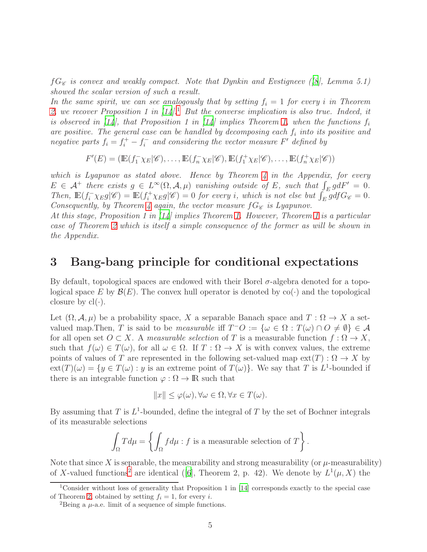$fG_{\mathscr{C}}$  is convex and weakly compact. Note that Dynkin and Evstigneev ([\[8](#page-14-2)], Lemma 5.1) showed the scalar version of such a result.

In the same spirit, we can see analogously that by setting  $f_i = 1$  for every i in Theorem [2,](#page-3-1) we recover Proposition [1](#page-4-1) in  $[14]$ .<sup>1</sup> But the converse implication is also true. Indeed, it is observed in  $\lceil 14 \rceil$ , that Proposition 1 in  $\lceil 14 \rceil$  implies Theorem [1,](#page-3-0) when the functions  $f_i$ are positive. The general case can be handled by decomposing each  $f_i$  into its positive and negative parts  $f_i = f_i^+ - f_i^-$  and considering the vector measure F' defined by

 $F'(E) = (\mathbb{E}(f_1^-\chi_E|\mathscr{C}), \ldots, \mathbb{E}(f_n^-\chi_E|\mathscr{C}), \mathbb{E}(f_1^+\chi_E|\mathscr{C}), \ldots, \mathbb{E}(f_n^+\chi_E|\mathscr{C}))$ 

which is Lyapunov as stated above. Hence by Theorem  $\lambda$  in the Appendix, for every  $E \in \mathcal{A}^+$  there exists  $g \in L^{\infty}(\Omega, \mathcal{A}, \mu)$  vanishing outside of E, such that  $\int_E g dF' = 0$ . Then,  $\mathbb{E}(f_i^-\chi_E g|\mathscr{C}) = \mathbb{E}(f_i^+\chi_E g|\mathscr{C}) = 0$  for every i, which is not else but  $\int_E^{\infty} g df G_{\mathscr{C}} = 0$ . Consequently, by Theorem [4](#page-10-1) again, the vector measure  $fG_{\mathscr{C}}$  is Lyapunov.

At this stage, Proposition 1 in [\[14\]](#page-15-5) implies Theorem [1.](#page-3-0) However, Theorem [1](#page-3-0) is a particular case of Theorem [2](#page-3-1) which is itself a simple consequence of the former as will be shown in the Appendix.

#### <span id="page-4-0"></span>3 Bang-bang principle for conditional expectations

By default, topological spaces are endowed with their Borel σ-algebra denoted for a topological space E by  $\mathcal{B}(E)$ . The convex hull operator is denoted by  $co(\cdot)$  and the topological closure by  $cl(\cdot)$ .

Let  $(\Omega, \mathcal{A}, \mu)$  be a probability space, X a separable Banach space and  $T : \Omega \to X$  a setvalued map. Then, T is said to be *measurable* if  $T^-O := \{ \omega \in \Omega : T(\omega) \cap O \neq \emptyset \} \in \mathcal{A}$ for all open set  $O \subset X$ . A measurable selection of T is a measurable function  $f : \Omega \to X$ , such that  $f(\omega) \in T(\omega)$ , for all  $\omega \in \Omega$ . If  $T : \Omega \to X$  is with convex values, the extreme points of values of T are represented in the following set-valued map  $ext(T): \Omega \to X$  by  $ext(T)(\omega) = \{y \in T(\omega) : y \text{ is an extreme point of } T(\omega)\}.$  We say that T is L<sup>1</sup>-bounded if there is an integrable function  $\varphi : \Omega \to \mathbb{R}$  such that

$$
||x|| \le \varphi(\omega), \forall \omega \in \Omega, \forall x \in T(\omega).
$$

By assuming that T is  $L^1$ -bounded, define the integral of T by the set of Bochner integrals of its measurable selections

$$
\int_{\Omega} T d\mu = \left\{ \int_{\Omega} f d\mu : f \text{ is a measurable selection of } T \right\}.
$$

Note that since X is separable, the measurability and strong measurability (or  $\mu$ -measurability) of X-valued functions<sup>[2](#page-4-2)</sup> are identical ([\[6](#page-14-3)], Theorem 2, p. 42). We denote by  $L^1(\mu, X)$  the

<sup>1</sup>Consider without loss of generality that Proposition 1 in [\[14\]](#page-15-5) corresponds exactly to the special case of Theorem [2,](#page-3-1) obtained by setting  $f_i = 1$ , for every i.

<span id="page-4-2"></span><span id="page-4-1"></span><sup>&</sup>lt;sup>2</sup>Being a  $\mu$ -a.e. limit of a sequence of simple functions.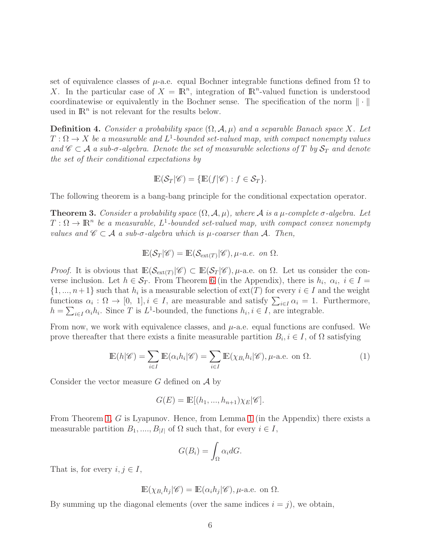set of equivalence classes of  $\mu$ -a.e. equal Bochner integrable functions defined from  $\Omega$  to X. In the particular case of  $X = \mathbb{R}^n$ , integration of  $\mathbb{R}^n$ -valued function is understood coordinatewise or equivalently in the Bochner sense. The specification of the norm  $\|\cdot\|$ used in  $\mathbb{R}^n$  is not relevant for the results below.

**Definition 4.** Consider a probability space  $(\Omega, \mathcal{A}, \mu)$  and a separable Banach space X. Let  $T: \Omega \to X$  be a measurable and  $L^1$ -bounded set-valued map, with compact nonempty values and  $\mathscr{C} \subset \mathcal{A}$  a sub- $\sigma$ -algebra. Denote the set of measurable selections of T by  $\mathcal{S}_T$  and denote the set of their conditional expectations by

$$
\mathbb{E}(\mathcal{S}_T|\mathscr{C}) = \{ \mathbb{E}(f|\mathscr{C}) : f \in \mathcal{S}_T \}.
$$

The following theorem is a bang-bang principle for the conditional expectation operator.

<span id="page-5-1"></span>**Theorem 3.** Consider a probability space  $(\Omega, \mathcal{A}, \mu)$ , where  $\mathcal{A}$  is a  $\mu$ -complete  $\sigma$ -algebra. Let  $T:\Omega\to\mathbb{R}^n$  be a measurable,  $L^1$ -bounded set-valued map, with compact convex nonempty values and  $\mathscr{C} \subset \mathcal{A}$  a sub- $\sigma$ -algebra which is  $\mu$ -coarser than  $\mathcal{A}$ . Then,

$$
\mathbb{E}(\mathcal{S}_T|\mathscr{C}) = \mathbb{E}(\mathcal{S}_{\text{ext}(T)}|\mathscr{C}), \mu\text{-}a.e. on } \Omega.
$$

*Proof.* It is obvious that  $\mathbb{E}(\mathcal{S}_{ext(T)}|\mathscr{C}) \subset \mathbb{E}(\mathcal{S}_T|\mathscr{C}), \mu$ -a.e. on  $\Omega$ . Let us consider the converse inclusion. Let  $h \in \mathcal{S}_T$ . From Theorem [6](#page-11-0) (in the Appendix), there is  $h_i, \alpha_i, i \in I =$  $\{1, ..., n+1\}$  such that  $h_i$  is a measurable selection of  $ext(T)$  for every  $i \in I$  and the weight functions  $\alpha_i : \Omega \to [0, 1], i \in I$ , are measurable and satisfy  $\sum_{i \in I} \alpha_i = 1$ . Furthermore,  $h = \sum_{i \in I} \alpha_i h_i$ . Since T is  $L^1$ -bounded, the functions  $h_i, i \in I$ , are integrable.

From now, we work with equivalence classes, and  $\mu$ -a.e. equal functions are confused. We prove thereafter that there exists a finite measurable partition  $B_i, i \in I$ , of  $\Omega$  satisfying

$$
\mathbb{E}(h|\mathscr{C}) = \sum_{i \in I} \mathbb{E}(\alpha_i h_i|\mathscr{C}) = \sum_{i \in I} \mathbb{E}(\chi_{B_i} h_i|\mathscr{C}), \mu\text{-a.e. on } \Omega.
$$
 (1)

Consider the vector measure  $G$  defined on  $A$  by

$$
G(E) = \mathbb{E}[(h_1, ..., h_{n+1})\chi_E|\mathscr{C}].
$$

From Theorem [1,](#page-3-0) G is Lyapunov. Hence, from Lemma [1](#page-10-2) (in the Appendix) there exists a measurable partition  $B_1, ..., B_{|I|}$  of  $\Omega$  such that, for every  $i \in I$ ,

<span id="page-5-0"></span>
$$
G(B_i) = \int_{\Omega} \alpha_i dG.
$$

That is, for every  $i, j \in I$ ,

$$
\mathbb{E}(\chi_{B_i}h_j|\mathscr{C}) = \mathbb{E}(\alpha_i h_j|\mathscr{C}), \mu\text{-a.e. on }\Omega.
$$

By summing up the diagonal elements (over the same indices  $i = j$ ), we obtain,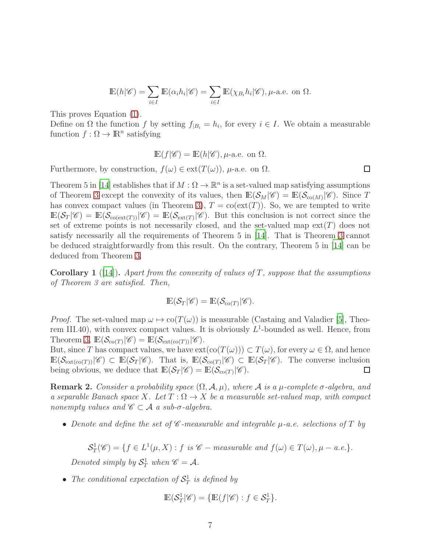$$
\mathbb{E}(h|\mathscr{C}) = \sum_{i \in I} \mathbb{E}(\alpha_i h_i|\mathscr{C}) = \sum_{i \in I} \mathbb{E}(\chi_{B_i} h_i|\mathscr{C}), \mu\text{-a.e. on } \Omega.
$$

This proves Equation [\(1\)](#page-5-0).

Define on  $\Omega$  the function f by setting  $f_{|B_i} = h_i$ , for every  $i \in I$ . We obtain a measurable function  $f : \Omega \to \mathbb{R}^n$  satisfying

$$
\mathbb{E}(f|\mathscr{C}) = \mathbb{E}(h|\mathscr{C}), \mu\text{-a.e. on } \Omega.
$$

Furthermore, by construction,  $f(\omega) \in \text{ext}(T(\omega))$ ,  $\mu$ -a.e. on  $\Omega$ .

Theorem 5 in [\[14](#page-15-5)] establishes that if  $M : \Omega \to \mathbb{R}^n$  is a set-valued map satisfying assumptions of Theorem [3](#page-5-1) except the convexity of its values, then  $\mathbb{E}(\mathcal{S}_M|\mathscr{C}) = \mathbb{E}(\mathcal{S}_{\text{co}(M)}|\mathscr{C})$ . Since T has convex compact values (in Theorem [3\)](#page-5-1),  $T = \text{co}(\text{ext}(T))$ . So, we are tempted to write  $\mathbb{E}(\mathcal{S}_T|\mathscr{C}) = \mathbb{E}(\mathcal{S}_{\text{co}(\text{ext}(T))}|\mathscr{C}) = \mathbb{E}(\mathcal{S}_{\text{ext}(T)}|\mathscr{C})$ . But this conclusion is not correct since the set of extreme points is not necessarily closed, and the set-valued map  $ext(T)$  does not satisfy necessarily all the requirements of Theorem 5 in [\[14](#page-15-5)]. That is Theorem [3](#page-5-1) cannot be deduced straightforwardly from this result. On the contrary, Theorem 5 in [\[14](#page-15-5)] can be deduced from Theorem [3.](#page-5-1)

**Corollary 1** ([\[14\]](#page-15-5)). Apart from the convexity of values of T, suppose that the assumptions of Theorem 3 are satisfied. Then,

$$
\mathbb{E}(\mathcal{S}_T|\mathscr{C}) = \mathbb{E}(\mathcal{S}_{\text{co}(T)}|\mathscr{C}).
$$

*Proof.* The set-valued map  $\omega \mapsto \text{co}(T(\omega))$  is measurable (Castaing and Valadier [\[5\]](#page-14-4), Theorem III.40), with convex compact values. It is obviously  $L^1$ -bounded as well. Hence, from Theorem [3,](#page-5-1)  $\mathbb{E}(\mathcal{S}_{\text{co}(T)}|\mathscr{C}) = \mathbb{E}(\mathcal{S}_{\text{ext}(\text{co}(T))}|\mathscr{C}).$ 

But, since T has compact values, we have  $ext(co(T(\omega))) \subset T(\omega)$ , for every  $\omega \in \Omega$ , and hence  $\mathbb{E}(\mathcal{S}_{\mathrm{ext}(\mathrm{co}(T))}|\mathscr{C}) \subset \mathbb{E}(\mathcal{S}_T|\mathscr{C})$ . That is,  $\mathbb{E}(\mathcal{S}_{\mathrm{co}(T)}|\mathscr{C}) \subset \mathbb{E}(\mathcal{S}_T|\mathscr{C})$ . The converse inclusion being obvious, we deduce that  $\mathbb{E}(\mathcal{S}_T|\mathscr{C}) = \mathbb{E}(\mathcal{S}_{\text{co}(T)}|\mathscr{C}).$  $\Box$ 

**Remark 2.** Consider a probability space  $(\Omega, \mathcal{A}, \mu)$ , where A is a  $\mu$ -complete  $\sigma$ -algebra, and a separable Banach space X. Let  $T : \Omega \to X$  be a measurable set-valued map, with compact nonempty values and  $\mathscr{C} \subset \mathcal{A}$  a sub- $\sigma$ -algebra.

• Denote and define the set of  $\mathscr C$ -measurable and integrable  $\mu$ -a.e. selections of T by

$$
\mathcal{S}_T^1(\mathscr{C}) = \{ f \in L^1(\mu, X) : f \text{ is } \mathscr{C}-measurable \text{ and } f(\omega) \in T(\omega), \mu - a.e. \}.
$$

Denoted simply by  $S_T^1$  when  $\mathscr{C} = \mathcal{A}$ .

• The conditional expectation of  $S_T^1$  is defined by

$$
\mathbb{E}(\mathcal{S}_T^1|\mathscr{C}) = \{ \mathbb{E}(f|\mathscr{C}) : f \in \mathcal{S}_T^1 \}.
$$

 $\Box$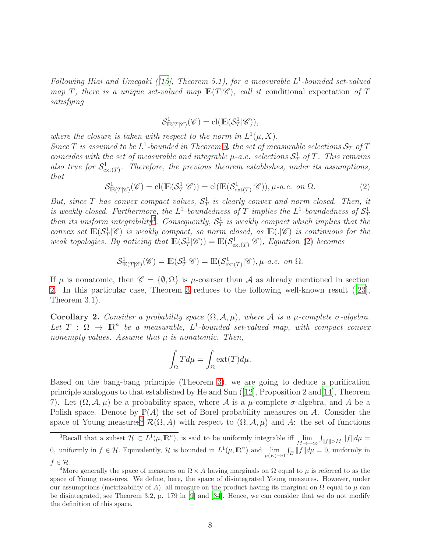Following Hiai and Umegaki ([\[15](#page-15-10)], Theorem 5.1), for a measurable  $L^1$ -bounded set-valued map T, there is a unique set-valued map  $E(T|\mathscr{C})$ , call it conditional expectation of T satisfying

$$
\mathcal{S}_{\mathbb{E}(T|\mathscr{C})}^1(\mathscr{C}) = \mathrm{cl}(\mathbb{E}(\mathcal{S}_T^1|\mathscr{C})),
$$

where the closure is taken with respect to the norm in  $L^1(\mu, X)$ . Since T is assumed to be  $L^1$ -bounded in Theorem [3,](#page-5-1) the set of measurable selections  $S_T$  of T coincides with the set of measurable and integrable  $\mu$ -a.e. selections  $S^1_T$  of T. This remains also true for  $S^1_{ext(T)}$ . Therefore, the previous theorem establishes, under its assumptions, that

$$
\mathcal{S}_{\mathbb{E}(T|\mathscr{C})}^1(\mathscr{C}) = \mathrm{cl}(\mathbb{E}(\mathcal{S}_T^1|\mathscr{C})) = \mathrm{cl}(\mathbb{E}(\mathcal{S}_{\mathrm{ext}(T)}^1|\mathscr{C})), \mu\text{-}a.e. on \Omega.
$$
 (2)

<span id="page-7-1"></span>But, since T has convex compact values,  $S_T^1$  is clearly convex and norm closed. Then, it is weakly closed. Furthermore, the  $L^1$ -boundedness of T implies the  $L^1$ -boundedness of  $\mathcal{S}_T^1$ then its uniform integrability<sup>[3](#page-7-0)</sup>. Consequently,  $S_T^1$  is weakly compact which implies that the convex set  $\mathbb{E}(\mathcal{S}_T^1|\mathscr{C})$  is weakly compact, so norm closed, as  $\mathbb{E}(.|\mathscr{C})$  is continuous for the weak topologies. By noticing that  $\mathbb{E}(\mathcal{S}_T^1|\mathscr{C})) = \mathbb{E}(\mathcal{S}_{\text{ext}(T)}^1|\mathscr{C})$ , Equation [\(2\)](#page-7-1) becomes

$$
\mathcal{S}_{\mathbb{E}(T\vert \mathscr{C})}^1(\mathscr{C})=\mathbb{E}(\mathcal{S}_T^1\vert \mathscr{C})=\mathbb{E}(\mathcal{S}_{\text{ext}(T)}^1\vert \mathscr{C}), \mu\text{-}a.e. on }\Omega.
$$

If  $\mu$  is nonatomic, then  $\mathscr{C} = {\emptyset, \Omega}$  is  $\mu$ -coarser than A as already mentioned in section [2.](#page-1-0) In this particular case, Theorem [3](#page-5-1) reduces to the following well-known result ([\[23\]](#page-15-1), Theorem 3.1).

Corollary 2. Consider a probability space  $(\Omega, \mathcal{A}, \mu)$ , where A is a  $\mu$ -complete  $\sigma$ -algebra. Let  $T : \Omega \to \mathbb{R}^n$  be a measurable,  $L^1$ -bounded set-valued map, with compact convex nonempty values. Assume that  $\mu$  is nonatomic. Then,

$$
\int_{\Omega} T d\mu = \int_{\Omega} \text{ext}(T) d\mu.
$$

Based on the bang-bang principle (Theorem [3\)](#page-5-1), we are going to deduce a purification principle analogous to that established by He and Sun  $(12)$ , Proposition 2 and  $[14]$  $[14]$ , Theorem 7). Let  $(\Omega, \mathcal{A}, \mu)$  be a probability space, where  $\mathcal{A}$  is a  $\mu$ -complete  $\sigma$ -algebra, and A be a Polish space. Denote by  $\mathbb{P}(A)$  the set of Borel probability measures on A. Consider the space of Young measures<sup>[4](#page-7-2)</sup>  $\mathcal{R}(\Omega, A)$  with respect to  $(\Omega, \mathcal{A}, \mu)$  and A: the set of functions

<span id="page-7-0"></span><sup>&</sup>lt;sup>3</sup>Recall that a subset  $\mathcal{H} \subset L^1(\mu, \mathbb{R}^n)$ , is said to be uniformly integrable iff  $\lim_{M \to +\infty} \int_{\|f\| > M} \|f\| d\mu =$ 0, uniformly in  $f \in \mathcal{H}$ . Equivalently,  $\mathcal{H}$  is bounded in  $L^1(\mu, \mathbb{R}^n)$  and  $\lim_{\mu(E) \to 0} \int_E ||f|| d\mu = 0$ , uniformly in  $f \in \mathcal{H}.$ 

<span id="page-7-2"></span><sup>&</sup>lt;sup>4</sup>More generally the space of measures on  $\Omega \times A$  having marginals on  $\Omega$  equal to  $\mu$  is referred to as the space of Young measures. We define, here, the space of disintegrated Young measures. However, under our assumptions (metrizability of A), all measure on the product having its marginal on  $\Omega$  equal to  $\mu$  can be disintegrated, see Theorem 3.2, p. 179 in [\[9\]](#page-14-5) and [\[34](#page-16-4)]. Hence, we can consider that we do not modify the definition of this space.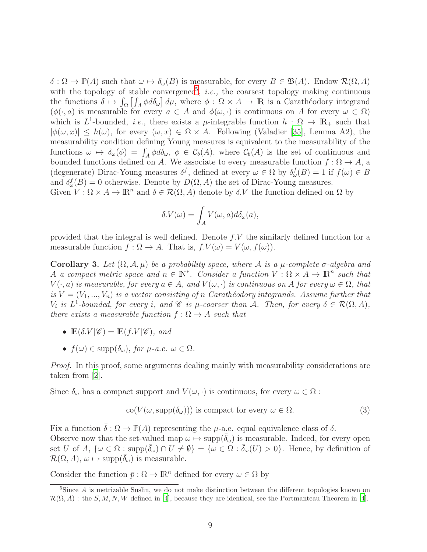$\delta : \Omega \to \mathbb{P}(A)$  such that  $\omega \mapsto \delta_{\omega}(B)$  is measurable, for every  $B \in \mathfrak{B}(A)$ . Endow  $\mathcal{R}(\Omega, A)$ with the topology of stable convergence<sup>[5](#page-8-0)</sup>, *i.e.*, the coarsest topology making continuous the functions  $\delta \mapsto \int_{\Omega} \left[ \int_A \phi d\delta_{\omega} \right] d\mu$ , where  $\phi : \Omega \times A \to \mathbb{R}$  is a Carathéodory integrand  $(\phi(\cdot, a)$  is measurable for every  $a \in A$  and  $\phi(\omega, \cdot)$  is continuous on A for every  $\omega \in \Omega$ ) which is  $L^1$ -bounded, *i.e.*, there exists a  $\mu$ -integrable function  $h : \Omega \to \mathbb{R}_+$  such that  $|\phi(\omega, x)| \leq h(\omega)$ , for every  $(\omega, x) \in \Omega \times A$ . Following (Valadier [\[35\]](#page-16-5), Lemma A2), the measurability condition defining Young measures is equivalent to the measurability of the functions  $\omega \mapsto \delta_{\omega}(\phi) = \int_A \phi d\delta_{\omega}, \ \phi \in C_b(A)$ , where  $C_b(A)$  is the set of continuous and bounded functions defined on A. We associate to every measurable function  $f : \Omega \to A$ , a (degenerate) Dirac-Young measures  $\delta^f$ , defined at every  $\omega \in \Omega$  by  $\delta^f_\omega(B) = 1$  if  $f(\omega) \in B$ and  $\delta_{\omega}^{f}(B) = 0$  otherwise. Denote by  $D(\Omega, A)$  the set of Dirac-Young measures.

Given  $V : \Omega \times A \to \mathbb{R}^n$  and  $\delta \in \mathcal{R}(\Omega, A)$  denote by  $\delta.V$  the function defined on  $\Omega$  by

$$
\delta.V(\omega) = \int_A V(\omega, a) d\delta_{\omega}(a),
$$

provided that the integral is well defined. Denote f.V the similarly defined function for a measurable function  $f : \Omega \to A$ . That is,  $f.V(\omega) = V(\omega, f(\omega))$ .

<span id="page-8-2"></span>Corollary 3. Let  $(\Omega, \mathcal{A}, \mu)$  be a probability space, where A is a  $\mu$ -complete  $\sigma$ -algebra and A a compact metric space and  $n \in \mathbb{N}^*$ . Consider a function  $V : \Omega \times A \to \mathbb{R}^n$  such that  $V(\cdot, a)$  is measurable, for every  $a \in A$ , and  $V(\omega, \cdot)$  is continuous on A for every  $\omega \in \Omega$ , that is  $V = (V_1, ..., V_n)$  is a vector consisting of n Carathéodory integrands. Assume further that  $V_i$  is  $L^1$ -bounded, for every i, and  $\mathscr C$  is  $\mu$ -coarser than  $\mathcal A$ . Then, for every  $\delta \in \mathcal R(\Omega, A)$ , there exists a measurable function  $f : \Omega \to A$  such that

- $\mathbb{E}(\delta V | \mathscr{C}) = \mathbb{E}(f.V | \mathscr{C})$ , and
- $f(\omega) \in \text{supp}(\delta_{\omega}),$  for  $\mu$ -a.e.  $\omega \in \Omega$ .

Proof. In this proof, some arguments dealing mainly with measurability considerations are taken from [\[2\]](#page-14-0).

Since  $\delta_{\omega}$  has a compact support and  $V(\omega, \cdot)$  is continuous, for every  $\omega \in \Omega$ :

<span id="page-8-1"></span>
$$
co(V(\omega, \text{supp}(\delta_{\omega}))) \text{ is compact for every } \omega \in \Omega.
$$
 (3)

Fix a function  $\bar{\delta}: \Omega \to \mathbb{P}(A)$  representing the  $\mu$ -a.e. equal equivalence class of  $\delta$ . Observe now that the set-valued map  $\omega \mapsto \text{supp}(\overline{\delta}_{\omega})$  is measurable. Indeed, for every open set U of A,  $\{\omega \in \Omega : \text{supp}(\overline{\delta}_{\omega}) \cap U \neq \emptyset\} = \{\omega \in \Omega : \overline{\delta}_{\omega}(U) > 0\}.$  Hence, by definition of  $\mathcal{R}(\Omega, A), \omega \mapsto \text{supp}(\overline{\delta}_{\omega})$  is measurable.

Consider the function  $\bar{p} : \Omega \to \mathbb{R}^n$  defined for every  $\omega \in \Omega$  by

<span id="page-8-0"></span><sup>&</sup>lt;sup>5</sup>Since A is metrizable Suslin, we do not make distinction between the different topologies known on  $\mathcal{R}(\Omega, A)$ : the  $S, M, N, W$  defined in [\[4\]](#page-14-6), because they are identical, see the Portmanteau Theorem in [\[4](#page-14-6)].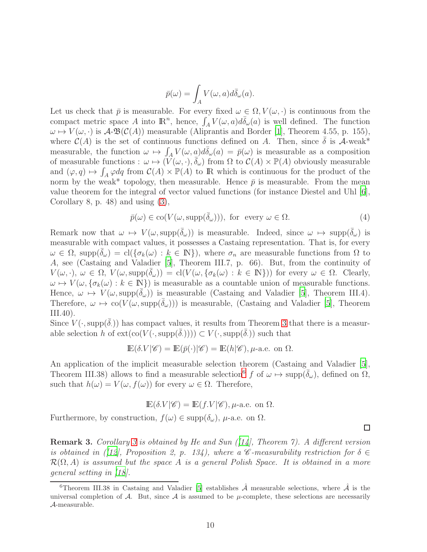$$
\bar{p}(\omega) = \int_A V(\omega, a) d\bar{\delta}_{\omega}(a).
$$

Let us check that  $\bar{p}$  is measurable. For every fixed  $\omega \in \Omega$ ,  $V(\omega, \cdot)$  is continuous from the compact metric space A into  $\mathbb{R}^n$ , hence,  $\int_A V(\omega, a) d\bar{\delta}_{\omega}(a)$  is well defined. The function  $\omega \mapsto V(\omega, \cdot)$  is  $\mathcal{A}\text{-}\mathfrak{B}(\mathcal{C}(A))$  measurable (Aliprantis and Border [\[1](#page-14-7)], Theorem 4.55, p. 155), where  $\mathcal{C}(A)$  is the set of continuous functions defined on A. Then, since  $\delta$  is A-weak\* measurable, the function  $\omega \mapsto \int_A V(\omega, a) d\bar{\delta}_{\omega}(a) = \bar{p}(\omega)$  is measurable as a composition of measurable functions :  $\omega \mapsto (\widetilde{V}(\omega, \cdot), \overline{\delta}_{\omega})$  from  $\Omega$  to  $\mathcal{C}(A) \times \mathbb{P}(A)$  obviously measurable and  $(\varphi, q) \mapsto \int_A \varphi dq$  from  $\mathcal{C}(A) \times \mathbb{P}(A)$  to R which is continuous for the product of the norm by the weak\* topology, then measurable. Hence  $\bar{p}$  is measurable. From the mean value theorem for the integral of vector valued functions (for instance Diestel and Uhl [\[6\]](#page-14-3), Corollary 8, p. 48) and using [\(3\)](#page-8-1),

$$
\bar{p}(\omega) \in \text{co}(V(\omega, \text{supp}(\bar{\delta}_{\omega}))), \text{ for every } \omega \in \Omega.
$$
\n(4)

Remark now that  $\omega \mapsto V(\omega, \text{supp}(\overline{\delta}_{\omega}))$  is measurable. Indeed, since  $\omega \mapsto \text{supp}(\overline{\delta}_{\omega})$  is measurable with compact values, it possesses a Castaing representation. That is, for every  $\omega \in \Omega$ , supp $(\delta_{\omega}) = \text{cl}(\{\sigma_k(\omega): k \in \mathbb{N}\})$ , where  $\sigma_n$  are measurable functions from  $\Omega$  to A, see (Castaing and Valadier [\[5](#page-14-4)], Theorem III.7, p. 66). But, from the continuity of  $V(\omega, \cdot), \ \omega \in \Omega, \ V(\omega, \text{supp}(\overline{\delta}_{\omega})) = \text{cl}(V(\omega, {\{\sigma_k(\omega): k \in \mathbb{N}\}}))$  for every  $\omega \in \Omega$ . Clearly,  $\omega \mapsto V(\omega, \{\sigma_k(\omega): k \in \mathbb{N}\})$  is measurable as a countable union of measurable functions. Hence,  $\omega \mapsto V(\omega, \text{supp}(\delta_{\omega}))$  is measurable (Castaing and Valadier [\[5](#page-14-4)], Theorem III.4). Therefore,  $\omega \mapsto \text{co}(V(\omega, \text{supp}(\delta_{\omega})))$  is measurable, (Castaing and Valadier [\[5\]](#page-14-4), Theorem III.40).

Since  $V(\cdot, \text{supp}(\overline{\delta}))$  has compact values, it results from Theorem [3](#page-5-1) that there is a measurable selection h of  $ext(co(V(\cdot, supp(\delta)))) \subset V(\cdot, supp(\delta))$  such that

$$
\mathbb{E}(\delta.V|\mathscr{C}) = \mathbb{E}(\bar{p}(\cdot)|\mathscr{C}) = \mathbb{E}(h|\mathscr{C}), \mu\text{-a.e. on }\Omega.
$$

An application of the implicit measurable selection theorem (Castaing and Valadier [\[5\]](#page-14-4), Theorem III.38) allows to find a measurable selection<sup>[6](#page-9-0)</sup> f of  $\omega \mapsto \text{supp}(\overline{\delta}_{\omega})$ , defined on  $\Omega$ , such that  $h(\omega) = V(\omega, f(\omega))$  for every  $\omega \in \Omega$ . Therefore,

$$
\mathbb{E}(\delta.V|\mathscr{C}) = \mathbb{E}(f.V|\mathscr{C}), \mu\text{-a.e. on } \Omega.
$$

Furthermore, by construction,  $f(\omega) \in \text{supp}(\delta_{\omega})$ ,  $\mu$ -a.e. on  $\Omega$ .

**Remark [3](#page-8-2).** Corollary 3 is obtained by He and Sun  $(114)$ , Theorem 7). A different version is obtained in ([\[12\]](#page-15-6), Proposition 2, p. 134), where a C-measurability restriction for  $\delta \in$  $\mathcal{R}(\Omega, A)$  is assumed but the space A is a general Polish Space. It is obtained in a more general setting in [\[18\]](#page-15-11).

 $\Box$ 

<span id="page-9-0"></span><sup>&</sup>lt;sup>6</sup>Theorem III.38 in Castaing and Valadier [\[5](#page-14-4)] establishes  $\hat{\mathcal{A}}$  measurable selections, where  $\hat{\mathcal{A}}$  is the universal completion of A. But, since A is assumed to be  $\mu$ -complete, these selections are necessarily A-measurable.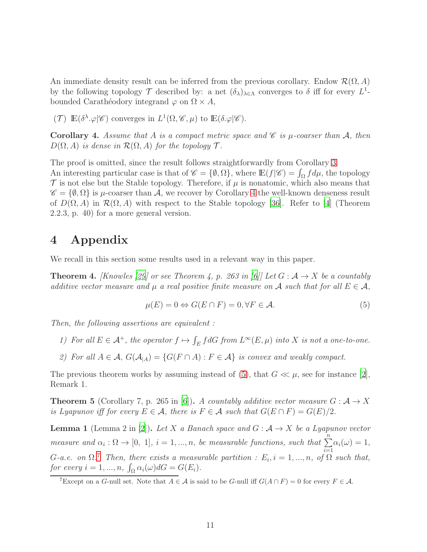An immediate density result can be inferred from the previous corollary. Endow  $\mathcal{R}(\Omega, A)$ by the following topology  $\mathcal T$  described by: a net  $(\delta_\lambda)_{\lambda \in \Lambda}$  converges to  $\delta$  iff for every  $L^1$ bounded Carathéodory integrand  $\varphi$  on  $\Omega \times A$ ,

(T)  $\mathbb{E}(\delta^{\lambda} \cdot \varphi | \mathscr{C})$  converges in  $L^1(\Omega, \mathscr{C}, \mu)$  to  $\mathbb{E}(\delta \cdot \varphi | \mathscr{C})$ .

<span id="page-10-3"></span>**Corollary 4.** Assume that A is a compact metric space and  $\mathscr{C}$  is  $\mu$ -coarser than A, then  $D(\Omega, A)$  is dense in  $\mathcal{R}(\Omega, A)$  for the topology  $\mathcal{T}$ .

The proof is omitted, since the result follows straightforwardly from Corollary [3.](#page-8-2) An interesting particular case is that of  $\mathscr{C} = \{\emptyset, \Omega\}$ , where  $\mathbb{E}(f|\mathscr{C}) = \int_{\Omega} f d\mu$ , the topology  $\mathcal T$  is not else but the Stable topology. Therefore, if  $\mu$  is nonatomic, which also means that  $\mathscr{C} = \{\emptyset, \Omega\}$  is  $\mu$ -coarser than A, we recover by Corollary [4](#page-10-3) the well-known denseness result of  $D(\Omega, A)$  in  $\mathcal{R}(\Omega, A)$  with respect to the Stable topology [\[36](#page-16-6)]. Refer to [\[4\]](#page-14-6) (Theorem 2.2.3, p. 40) for a more general version.

### <span id="page-10-0"></span>4 Appendix

We recall in this section some results used in a relevant way in this paper.

<span id="page-10-1"></span>**Theorem 4.** [Knowles [\[29\]](#page-16-0) or see Theorem 4, p. 263 in [\[6\]](#page-14-3)] Let  $G : \mathcal{A} \to X$  be a countably additive vector measure and  $\mu$  a real positive finite measure on A such that for all  $E \in \mathcal{A}$ ,

<span id="page-10-4"></span>
$$
\mu(E) = 0 \Leftrightarrow G(E \cap F) = 0, \forall F \in \mathcal{A}.\tag{5}
$$

Then, the following assertions are equivalent :

- 1) For all  $E \in \mathcal{A}^+$ , the operator  $f \mapsto \int_E f dG$  from  $L^{\infty}(E, \mu)$  into X is not a one-to-one.
- 2) For all  $A \in \mathcal{A}$ ,  $G(\mathcal{A}_{|A}) = \{G(F \cap A) : F \in \mathcal{A}\}\$ is convex and weakly compact.

The previous theorem works by assuming instead of [\(5\)](#page-10-4), that  $G \ll \mu$ , see for instance [\[2\]](#page-14-0), Remark 1.

<span id="page-10-6"></span>**Theorem 5** (Corollary 7, p. 265 in [\[6](#page-14-3)]). A countably additive vector measure  $G : \mathcal{A} \to X$ is Lyapunov iff for every  $E \in \mathcal{A}$ , there is  $F \in \mathcal{A}$  such that  $G(E \cap F) = G(E)/2$ .

<span id="page-10-2"></span>**Lemma 1** (Lemma 2 in [\[2\]](#page-14-0)). Let X a Banach space and  $G : \mathcal{A} \to X$  be a Lyapunov vector measure and  $\alpha_i : \Omega \to [0, 1], i = 1, ..., n$ , be measurable functions, such that  $\sum_{i=1}^{n} \alpha_i(\omega) = 1$ ,  $i=1$ G-a.e. on  $\Omega$ .<sup>[7](#page-10-5)</sup> Then, there exists a measurable partition :  $E_i$ ,  $i = 1, ..., n$ , of  $\Omega$  such that, for every  $i = 1, ..., n$ ,  $\int_{\Omega} \alpha_i(\omega) dG = G(E_i)$ .

<span id="page-10-5"></span><sup>&</sup>lt;sup>7</sup>Except on a G-null set. Note that  $A \in \mathcal{A}$  is said to be G-null iff  $G(A \cap F) = 0$  for every  $F \in \mathcal{A}$ .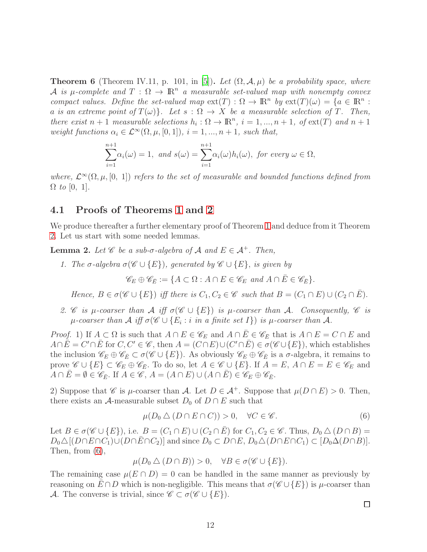<span id="page-11-0"></span>**Theorem 6** (Theorem IV.11, p. 101, in [\[5\]](#page-14-4)). Let  $(\Omega, \mathcal{A}, \mu)$  be a probability space, where A is  $\mu$ -complete and  $T: \Omega \to \mathbb{R}^n$  a measurable set-valued map with nonempty convex compact values. Define the set-valued map  $ext(T): \Omega \to \mathbb{R}^n$  by  $ext(T)(\omega) = \{a \in \mathbb{R}^n :$ a is an extreme point of  $T(\omega)$ . Let  $s : \Omega \to X$  be a measurable selection of T. Then, there exist  $n+1$  measurable selections  $h_i : \Omega \to \mathbb{R}^n$ ,  $i = 1, ..., n+1$ , of  $ext(T)$  and  $n+1$ weight functions  $\alpha_i \in \mathcal{L}^{\infty}(\Omega, \mu, [0, 1]), i = 1, ..., n + 1$ , such that,

$$
\sum_{i=1}^{n+1} \alpha_i(\omega) = 1, \text{ and } s(\omega) = \sum_{i=1}^{n+1} \alpha_i(\omega) h_i(\omega), \text{ for every } \omega \in \Omega,
$$

where,  $\mathcal{L}^{\infty}(\Omega,\mu,[0,1])$  refers to the set of measurable and bounded functions defined from  $\Omega$  to [0, 1].

#### 4.1 Proofs of Theorems [1](#page-3-0) and [2](#page-3-1)

We produce thereafter a further elementary proof of Theorem [1](#page-3-0) and deduce from it Theorem [2.](#page-3-1) Let us start with some needed lemmas.

<span id="page-11-2"></span>**Lemma 2.** Let  $\mathscr C$  be a sub- $\sigma$ -algebra of  $\mathcal A$  and  $E \in \mathcal A^+$ . Then,

1. The  $\sigma$ -algebra  $\sigma(\mathscr{C} \cup \{E\})$ , generated by  $\mathscr{C} \cup \{E\}$ , is given by

$$
\mathscr{C}_E \oplus \mathscr{C}_{\bar{E}} := \{ A \subset \Omega : A \cap E \in \mathscr{C}_E \text{ and } A \cap \bar{E} \in \mathscr{C}_{\bar{E}} \}.
$$

Hence,  $B \in \sigma(\mathscr{C} \cup \{E\})$  iff there is  $C_1, C_2 \in \mathscr{C}$  such that  $B = (C_1 \cap E) \cup (C_2 \cap \overline{E}).$ 

2. C is  $\mu$ -coarser than  $\mathcal A$  iff  $\sigma(\mathcal C \cup \{E\})$  is  $\mu$ -coarser than  $\mathcal A$ . Consequently,  $\mathcal C$  is  $\mu$ -coarser than  $\mathcal A$  iff  $\sigma(\mathscr{C} \cup \{E_i : i \text{ in a finite set } I\})$  is  $\mu$ -coarser than  $\mathcal A$ .

*Proof.* 1) If  $A \subset \Omega$  is such that  $A \cap E \in \mathscr{C}_E$  and  $A \cap \overline{E} \in \mathscr{C}_{\overline{E}}$  that is  $A \cap E = C \cap E$  and  $A \cap \overline{E} = C' \cap \overline{E}$  for  $C, C' \in \mathscr{C}$ , then  $A = (C \cap E) \cup (C' \cap \overline{E}) \in \overline{\sigma}(\mathscr{C} \cup \{E\})$ , which establishes the inclusion  $\mathscr{C}_E \oplus \mathscr{C}_{\bar{E}} \subset \sigma(\mathscr{C} \cup \{E\})$ . As obviously  $\mathscr{C}_E \oplus \mathscr{C}_{\bar{E}}$  is a  $\sigma$ -algebra, it remains to prove  $\mathscr{C} \cup \{E\} \subset \mathscr{C}_E \oplus \mathscr{C}_{\bar{E}}$ . To do so, let  $A \in \mathscr{C} \cup \{E\}$ . If  $A = E$ ,  $A \cap E = E \in \mathscr{C}_E$  and  $A \cap \overline{E} = \emptyset \in \mathscr{C}_{\overline{E}}.$  If  $A \in \mathscr{C}, A = (A \cap E) \cup (A \cap \overline{E}) \in \mathscr{C}_{E} \oplus \mathscr{C}_{\overline{E}}.$ 

2) Suppose that C is  $\mu$ -coarser than A. Let  $D \in A^+$ . Suppose that  $\mu(D \cap E) > 0$ . Then, there exists an  $\mathcal A$ -measurable subset  $D_0$  of  $D \cap E$  such that

<span id="page-11-1"></span>
$$
\mu(D_0 \triangle (D \cap E \cap C)) > 0, \quad \forall C \in \mathscr{C}.
$$
\n
$$
(6)
$$

Let  $B \in \sigma(\mathscr{C} \cup \{E\})$ , i.e.  $B = (C_1 \cap E) \cup (C_2 \cap \overline{E})$  for  $C_1, C_2 \in \mathscr{C}$ . Thus,  $D_0 \triangle (D \cap B)$  $D_0\Delta[(D\cap E\cap C_1)\cup(D\cap \bar{E}\cap C_2)]$  and since  $D_0\subset D\cap E$ ,  $D_0\Delta(D\cap E\cap C_1)\subset [D_0\Delta(D\cap B)].$ Then, from [\(6\)](#page-11-1),

$$
\mu(D_0 \bigtriangleup (D \cap B)) > 0, \quad \forall B \in \sigma(\mathscr{C} \cup \{E\}).
$$

The remaining case  $\mu(E \cap D) = 0$  can be handled in the same manner as previously by reasoning on  $E \cap D$  which is non-negligible. This means that  $\sigma(\mathscr{C} \cup \{E\})$  is  $\mu$ -coarser than A. The converse is trivial, since  $\mathscr{C} \subset \sigma(\mathscr{C} \cup \{E\}).$ 

 $\Box$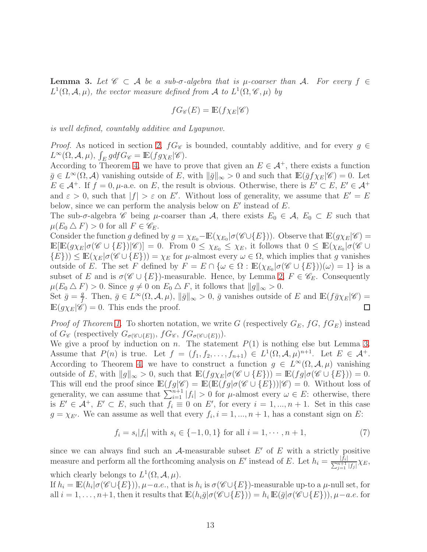<span id="page-12-0"></span>**Lemma 3.** Let  $\mathscr{C} \subset \mathcal{A}$  be a sub- $\sigma$ -algebra that is  $\mu$ -coarser than  $\mathcal{A}$ . For every  $f \in$  $L^1(\Omega, \mathcal{A}, \mu)$ , the vector measure defined from A to  $L^1(\Omega, \mathcal{C}, \mu)$  by

$$
fG_{\mathscr{C}}(E) = \mathbb{E}(f\chi_E|\mathscr{C})
$$

is well defined, countably additive and Lyapunov.

*Proof.* As noticed in section [2,](#page-1-0)  $fG_{\mathscr{C}}$  is bounded, countably additive, and for every  $g \in$  $L^{\infty}(\Omega, \mathcal{A}, \mu)$ ,  $\int_{E} g df G_{\mathscr{C}} = \mathbb{E}(f g \chi_{E} | \mathscr{C})$ .

According to Theorem [4,](#page-10-1) we have to prove that given an  $E \in \mathcal{A}^+$ , there exists a function  $\bar{g} \in L^{\infty}(\Omega, \mathcal{A})$  vanishing outside of E, with  $\|\bar{g}\|_{\infty} > 0$  and such that  $\mathbb{E}(\bar{g}f\chi_E|\mathscr{C}) = 0$ . Let  $E \in \mathcal{A}^+$ . If  $f = 0, \mu$ -a.e. on E, the result is obvious. Otherwise, there is  $E' \subset E, E' \in \mathcal{A}^+$ and  $\varepsilon > 0$ , such that  $|f| > \varepsilon$  on E'. Without loss of generality, we assume that  $E' = E$ below, since we can perform the analysis below on  $E'$  instead of  $E$ .

The sub- $\sigma$ -algebra  $\mathscr C$  being  $\mu$ -coarser than  $\mathcal A$ , there exists  $E_0 \in \mathcal A$ ,  $E_0 \subset E$  such that  $\mu(E_0 \triangle F) > 0$  for all  $F \in \mathscr{C}_E$ .

Consider the function g defined by  $g = \chi_{E_0} - \mathbb{E}(\chi_{E_0} | \sigma(\mathscr{C} \cup \{E\}))$ . Observe that  $\mathbb{E}(g\chi_E | \mathscr{C}) =$  $\mathbb{E}[\mathbb{E}(g\chi_E|\sigma(\mathscr{C}\cup\{E\})|\mathscr{C})] = 0.$  From  $0 \leq \chi_{E_0} \leq \chi_E$ , it follows that  $0 \leq \mathbb{E}(\chi_{E_0}|\sigma(\mathscr{C}\cup E))$  $\{E\})\leq \mathbb{E}(\chi_E|\sigma(\mathscr{C}\cup\{E\}))=\chi_E$  for  $\mu$ -almost every  $\omega\in\Omega$ , which implies that g vanishes outside of E. The set F defined by  $F = E \cap {\omega \in \Omega : \mathbb{E}(\chi_{E_0} | \sigma(\mathscr{C} \cup \{E\}))(\omega) = 1}$  is a subset of E and is  $\sigma(\mathscr{C} \cup \{E\})$ -measurable. Hence, by Lemma [2,](#page-11-2)  $F \in \mathscr{C}_E$ . Consequently  $\mu(E_0 \triangle F) > 0$ . Since  $g \neq 0$  on  $E_0 \triangle F$ , it follows that  $||g||_{\infty} > 0$ .

Set  $\bar{g} = \frac{g}{f}$ g. Then,  $\bar{g} \in L^{\infty}(\Omega, \mathcal{A}, \mu)$ ,  $\|\bar{g}\|_{\infty} > 0$ ,  $\bar{g}$  vanishes outside of E and  $\mathbb{E}(f\bar{g}\chi_E|\mathscr{C}) =$  $\mathbb{E}(g\chi_E|\mathscr{C})=0.$  This ends the proof.  $\Box$ 

*Proof of Theorem [1.](#page-3-0)* To shorten notation, we write G (respectively  $G_E$ ,  $fG$ ,  $fG_E$ ) instead of  $G_{\mathscr{C}}$  (respectively  $G_{\sigma(\mathscr{C}\cup\{E\})}$ ,  $fG_{\mathscr{C}}$ ,  $fG_{\sigma(\mathscr{C}\cup\{E\})}$ ).

We give a proof by induction on n. The statement  $P(1)$  is nothing else but Lemma [3.](#page-12-0) Assume that  $P(n)$  is true. Let  $f = (f_1, f_2, \ldots, f_{n+1}) \in L^1(\Omega, \mathcal{A}, \mu)^{n+1}$ . Let  $E \in \mathcal{A}^+$ . According to Theorem [4,](#page-10-1) we have to construct a function  $g \in L^{\infty}(\Omega, \mathcal{A}, \mu)$  vanishing outside of E, with  $||g||_{\infty} > 0$ , such that  $\mathbb{E}(fg\chi_E|\sigma(\mathscr{C} \cup \{E\})) = \mathbb{E}(fg|\sigma(\mathscr{C} \cup \{E\})) = 0$ . This will end the proof since  $\mathbb{E}(fg|\mathscr{C}) = \mathbb{E}(\mathbb{E}(fg|\sigma(\mathscr{C} \cup \{E\}))|\mathscr{C}) = 0$ . Without loss of generality, we can assume that  $\sum_{i=1}^{n+1} |f_i| > 0$  for  $\mu$ -almost every  $\omega \in E$ : otherwise, there is  $E' \in \mathcal{A}^+, E' \subset E$ , such that  $f_i \equiv 0$  on E', for every  $i = 1, ..., n + 1$ . Set in this case  $g = \chi_{E'}$ . We can assume as well that every  $f_i$ ,  $i = 1, ..., n + 1$ , has a constant sign on E:

<span id="page-12-1"></span>
$$
f_i = s_i |f_i| \text{ with } s_i \in \{-1, 0, 1\} \text{ for all } i = 1, \cdots, n+1,
$$
 (7)

since we can always find such an  $A$ -measurable subset  $E'$  of  $E$  with a strictly positive measure and perform all the forthcoming analysis on E' instead of E. Let  $h_i = \frac{|f_i|}{\sum_{i=1}^{n+1}}$  $\frac{|J_i|}{\sum_{j=1}^{n+1}|f_j|}\chi_E,$ which clearly belongs to  $L^1(\Omega, \mathcal{A}, \mu)$ .

If  $h_i = \mathbb{E}(h_i | \sigma(\mathscr{C} \cup \{E\}))$ ,  $\mu-a.e.,$  that is  $h_i$  is  $\sigma(\mathscr{C} \cup \{E\})$ -measurable up-to a  $\mu$ -null set, for all  $i = 1, \ldots, n+1$ , then it results that  $\mathbb{E}(h_i \bar{g} | \sigma(\mathscr{C} \cup \{E\})) = h_i \mathbb{E}(\bar{g} | \sigma(\mathscr{C} \cup \{E\}))$ ,  $\mu-a.e.$  for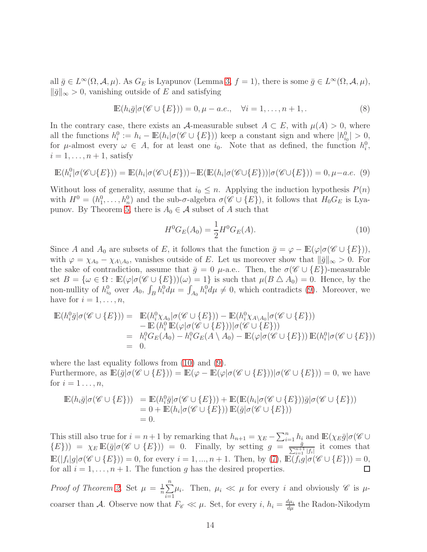all  $\bar{g} \in L^{\infty}(\Omega, \mathcal{A}, \mu)$ . As  $G_E$  is Lyapunov (Lemma [3,](#page-12-0)  $f = 1$ ), there is some  $\bar{g} \in L^{\infty}(\Omega, \mathcal{A}, \mu)$ ,  $\|\bar{g}\|_{\infty} > 0$ , vanishing outside of E and satisfying

<span id="page-13-0"></span>
$$
\mathbb{E}(h_i\bar{g}|\sigma(\mathscr{C}\cup\{E\}))=0,\mu-a.e.,\quad\forall i=1,\ldots,n+1.
$$
\n(8)

In the contrary case, there exists an A-measurable subset  $A \subset E$ , with  $\mu(A) > 0$ , where all the functions  $h_i^0 := h_i - \mathbb{E}(h_i | \sigma(\mathscr{C} \cup \{E\}))$  keep a constant sign and where  $|h_{i_0}^0| > 0$ , for  $\mu$ -almost every  $\omega \in A$ , for at least one  $i_0$ . Note that as defined, the function  $h_i^0$ ,  $i = 1, \ldots, n + 1$ , satisfy

$$
\mathbb{E}(h_i^0|\sigma(\mathscr{C}\cup\{E\})) = \mathbb{E}(h_i|\sigma(\mathscr{C}\cup\{E\})) - \mathbb{E}(\mathbb{E}(h_i|\sigma(\mathscr{C}\cup\{E\}))|\sigma(\mathscr{C}\cup\{E\})) = 0, \mu-a.e. \tag{9}
$$

Without loss of generality, assume that  $i_0 \leq n$ . Applying the induction hypothesis  $P(n)$ with  $H^0 = (h_1^0, \ldots, h_n^0)$  and the sub- $\sigma$ -algebra  $\sigma(\mathscr{C} \cup \{E\})$ , it follows that  $H_0G_E$  is Lya-punov. By Theorem [5,](#page-10-6) there is  $A_0 \in \mathcal{A}$  subset of A such that

<span id="page-13-1"></span>
$$
H^{0}G_{E}(A_{0}) = \frac{1}{2}H^{0}G_{E}(A). \qquad (10)
$$

Since A and  $A_0$  are subsets of E, it follows that the function  $\bar{g} = \varphi - \mathbb{E}(\varphi | \sigma(\mathscr{C} \cup \{E\}))$ , with  $\varphi = \chi_{A_0} - \chi_{A_1A_0}$ , vanishes outside of E. Let us moreover show that  $\|\bar{g}\|_{\infty} > 0$ . For the sake of contradiction, assume that  $\bar{g} = 0$   $\mu$ -a.e.. Then, the  $\sigma(\mathscr{C} \cup \{E\})$ -measurable set  $B = {\omega \in \Omega : \mathbb{E}(\varphi | \sigma(\mathscr{C} \cup \{E\}))(\omega) = 1}$  is such that  $\mu(B \triangle A_0) = 0$ . Hence, by the non-nullity of  $h_{i_0}^0$  over  $A_0$ ,  $\int_B h_i^0 d\mu = \int_{A_0} h_i^0 d\mu \neq 0$ , which contradicts [\(9\)](#page-13-0). Moreover, we have for  $i = 1, \ldots, n$ ,

$$
\mathbb{E}(h_i^0 \bar{g} | \sigma(\mathscr{C} \cup \{E\})) = \mathbb{E}(h_i^0 \chi_{A_0} | \sigma(\mathscr{C} \cup \{E\})) - \mathbb{E}(h_i^0 \chi_{A \setminus A_0} | \sigma(\mathscr{C} \cup \{E\})) \n- \mathbb{E}(h_i^0 \mathbb{E}(\varphi | \sigma(\mathscr{C} \cup \{E\})) | \sigma(\mathscr{C} \cup \{E\})) \n= h_i^0 G_E(A_0) - h_i^0 G_E(A \setminus A_0) - \mathbb{E}(\varphi | \sigma(\mathscr{C} \cup \{E\})) \mathbb{E}(h_i^0 | \sigma(\mathscr{C} \cup \{E\})) \n= 0.
$$

where the last equality follows from [\(10\)](#page-13-1) and [\(9\)](#page-13-0). Furthermore, as  $\mathbb{E}(\bar{g}|\sigma(\mathscr{C}\cup\{E\}))=\mathbb{E}(\varphi-\mathbb{E}(\varphi|\sigma(\mathscr{C}\cup\{E\}))|\sigma(\mathscr{C}\cup\{E\}))=0$ , we have for  $i=1\ldots,n$ ,

$$
\mathbb{E}(h_i\bar{g}|\sigma(\mathscr{C}\cup\{E\})) = \mathbb{E}(h_i^0\bar{g}|\sigma(\mathscr{C}\cup\{E\})) + \mathbb{E}(\mathbb{E}(h_i|\sigma(\mathscr{C}\cup\{E\}))\bar{g}|\sigma(\mathscr{C}\cup\{E\}))
$$
  
= 0 +  $\mathbb{E}(h_i|\sigma(\mathscr{C}\cup\{E\}))\mathbb{E}(\bar{g}|\sigma(\mathscr{C}\cup\{E\}))$   
= 0.

This still also true for  $i = n + 1$  by remarking that  $h_{n+1} = \chi_E - \sum_{i=1}^n h_i$  and  $\mathbb{E}(\chi_E \bar{g} | \sigma(\mathscr{C} \cup$  $(E)) = \chi_E \mathbb{E}(\bar{g}|\sigma(\mathscr{C} \cup \{E\})) = 0.$  Finally, by setting  $g = \frac{\bar{g}}{\sum_{i=1}^{n+1} |f_i|}$  it comes that  $\mathbb{E}(|f_i|g|\sigma(\mathscr{C}\cup\{E\}))=0$ , for every  $i=1,...,n+1$ . Then, by [\(7\)](#page-12-1),  $\mathbb{E}(\overline{f_i g}|\sigma(\mathscr{C}\cup\{E\}))=0$ , for all  $i = 1, \ldots, n + 1$ . The function g has the desired properties.  $\Box$ 

*Proof of Theorem [2.](#page-3-1)* Set  $\mu = \frac{1}{n}$  $\frac{1}{n}\sum_{n=1}^{n}$  $i=1$  $\mu_i$ . Then,  $\mu_i \ll \mu$  for every i and obviously  $\mathscr C$  is  $\mu$ coarser than A. Observe now that  $F_{\mathscr{C}} \ll \mu$ . Set, for every i,  $h_i = \frac{d\mu_i}{d\mu}$  the Radon-Nikodym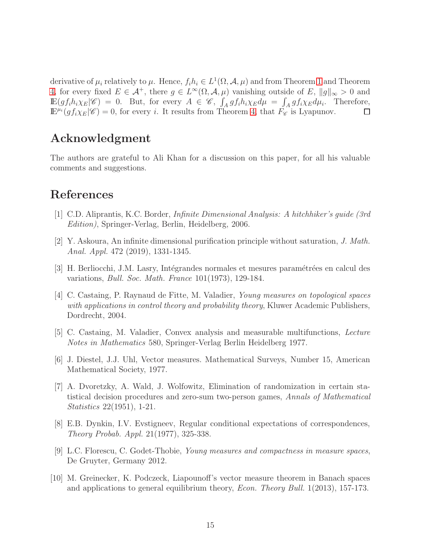derivative of  $\mu_i$  relatively to  $\mu$ . Hence,  $f_i h_i \in L^1(\Omega, \mathcal{A}, \mu)$  and from Theorem [1](#page-3-0) and Theorem [4,](#page-10-1) for every fixed  $E \in \mathcal{A}^+$ , there  $g \in L^{\infty}(\Omega, \mathcal{A}, \mu)$  vanishing outside of E,  $||g||_{\infty} > 0$  and  $\mathbb{E}(gf_i h_i\chi_E|\mathscr{C}) = 0$ . But, for every  $A \in \mathscr{C}$ ,  $\int_A gf_i h_i\chi_E d\mu = \int_A gf_i\chi_E d\mu_i$ . Therefore,  $\mathbb{E}^{\mu_i}(gf_i\chi_E|\mathscr{C})=0$ , for every i. It results from Theorem [4,](#page-10-1) that  $\tilde{F}_{\mathscr{C}}$  is Lyapunov.  $\Box$ 

## Acknowledgment

The authors are grateful to Ali Khan for a discussion on this paper, for all his valuable comments and suggestions.

#### References

- <span id="page-14-7"></span>[1] C.D. Aliprantis, K.C. Border, Infinite Dimensional Analysis: A hitchhiker's guide (3rd Edition), Springer-Verlag, Berlin, Heidelberg, 2006.
- <span id="page-14-0"></span>[2] Y. Askoura, An infinite dimensional purification principle without saturation, J. Math. Anal. Appl. 472 (2019), 1331-1345.
- [3] H. Berliocchi, J.M. Lasry, Intégrandes normales et mesures paramétrées en calcul des variations, Bull. Soc. Math. France 101(1973), 129-184.
- <span id="page-14-6"></span>[4] C. Castaing, P. Raynaud de Fitte, M. Valadier, Young measures on topological spaces with applications in control theory and probability theory, Kluwer Academic Publishers, Dordrecht, 2004.
- <span id="page-14-4"></span>[5] C. Castaing, M. Valadier, Convex analysis and measurable multifunctions, Lecture Notes in Mathematics 580, Springer-Verlag Berlin Heidelberg 1977.
- <span id="page-14-3"></span>[6] J. Diestel, J.J. Uhl, Vector measures. Mathematical Surveys, Number 15, American Mathematical Society, 1977.
- [7] A. Dvoretzky, A. Wald, J. Wolfowitz, Elimination of randomization in certain statistical decision procedures and zero-sum two-person games, Annals of Mathematical Statistics 22(1951), 1-21.
- <span id="page-14-2"></span>[8] E.B. Dynkin, I.V. Evstigneev, Regular conditional expectations of correspondences, Theory Probab. Appl. 21(1977), 325-338.
- <span id="page-14-5"></span>[9] L.C. Florescu, C. Godet-Thobie, Young measures and compactness in measure spaces, De Gruyter, Germany 2012.
- <span id="page-14-1"></span>[10] M. Greinecker, K. Podczeck, Liapounoff's vector measure theorem in Banach spaces and applications to general equilibrium theory, Econ. Theory Bull. 1(2013), 157-173.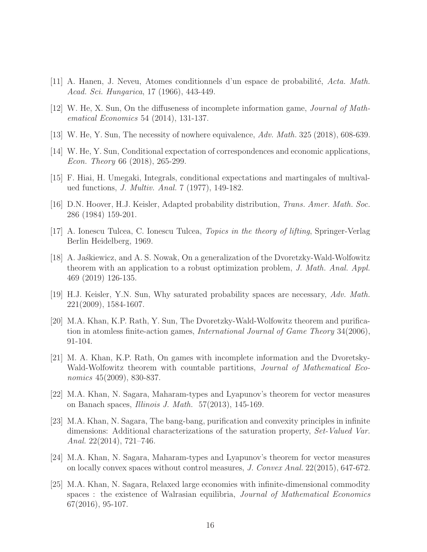- <span id="page-15-8"></span>[11] A. Hanen, J. Neveu, Atomes conditionnels d'un espace de probabilité, Acta. Math. Acad. Sci. Hungarica, 17 (1966), 443-449.
- <span id="page-15-6"></span>[12] W. He, X. Sun, On the diffuseness of incomplete information game, Journal of Mathematical Economics 54 (2014), 131-137.
- <span id="page-15-7"></span>[13] W. He, Y. Sun, The necessity of nowhere equivalence, Adv. Math. 325 (2018), 608-639.
- <span id="page-15-5"></span>[14] W. He, Y. Sun, Conditional expectation of correspondences and economic applications, Econ. Theory 66 (2018), 265-299.
- <span id="page-15-10"></span>[15] F. Hiai, H. Umegaki, Integrals, conditional expectations and martingales of multivalued functions, J. Multiv. Anal. 7 (1977), 149-182.
- <span id="page-15-9"></span>[16] D.N. Hoover, H.J. Keisler, Adapted probability distribution, Trans. Amer. Math. Soc. 286 (1984) 159-201.
- [17] A. Ionescu Tulcea, C. Ionescu Tulcea, Topics in the theory of lifting, Springer-Verlag Berlin Heidelberg, 1969.
- <span id="page-15-11"></span>[18] A. Jaskiewicz, and A. S. Nowak, On a generalization of the Dvoretzky-Wald-Wolfowitz theorem with an application to a robust optimization problem, J. Math. Anal. Appl. 469 (2019) 126-135.
- <span id="page-15-4"></span>[19] H.J. Keisler, Y.N. Sun, Why saturated probability spaces are necessary, Adv. Math. 221(2009), 1584-1607.
- [20] M.A. Khan, K.P. Rath, Y. Sun, The Dvoretzky-Wald-Wolfowitz theorem and purification in atomless finite-action games, International Journal of Game Theory 34(2006), 91-104.
- [21] M. A. Khan, K.P. Rath, On games with incomplete information and the Dvoretsky-Wald-Wolfowitz theorem with countable partitions, Journal of Mathematical Economics 45(2009), 830-837.
- <span id="page-15-0"></span>[22] M.A. Khan, N. Sagara, Maharam-types and Lyapunov's theorem for vector measures on Banach spaces, Illinois J. Math. 57(2013), 145-169.
- <span id="page-15-1"></span>[23] M.A. Khan, N. Sagara, The bang-bang, purification and convexity principles in infinite dimensions: Additional characterizations of the saturation property, Set-Valued Var. Anal. 22(2014), 721–746.
- <span id="page-15-2"></span>[24] M.A. Khan, N. Sagara, Maharam-types and Lyapunov's theorem for vector measures on locally convex spaces without control measures, J. Convex Anal. 22(2015), 647-672.
- <span id="page-15-3"></span>[25] M.A. Khan, N. Sagara, Relaxed large economies with infinite-dimensional commodity spaces : the existence of Walrasian equilibria, *Journal of Mathematical Economics* 67(2016), 95-107.